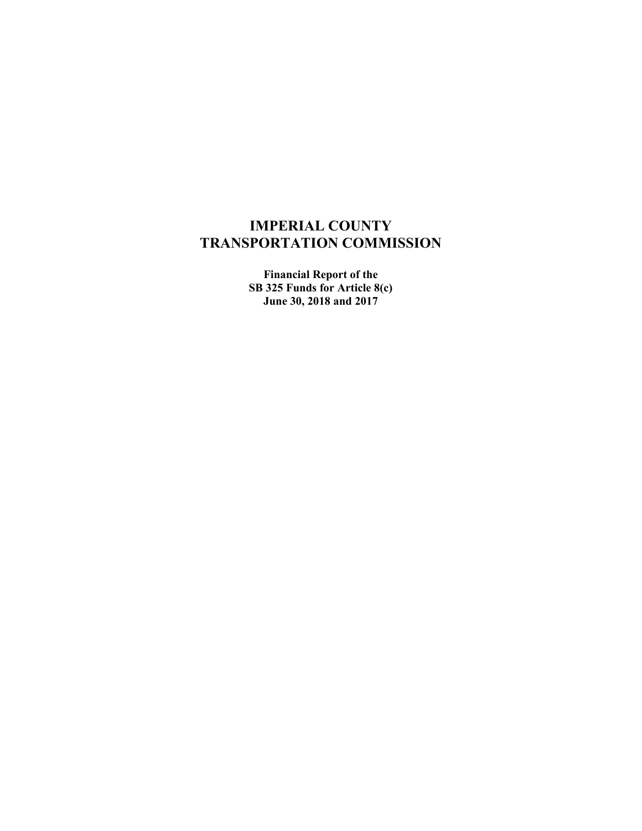# **IMPERIAL COUNTY TRANSPORTATION COMMISSION**

**Financial Report of the SB 325 Funds for Article 8(c) June 30, 2018 and 2017**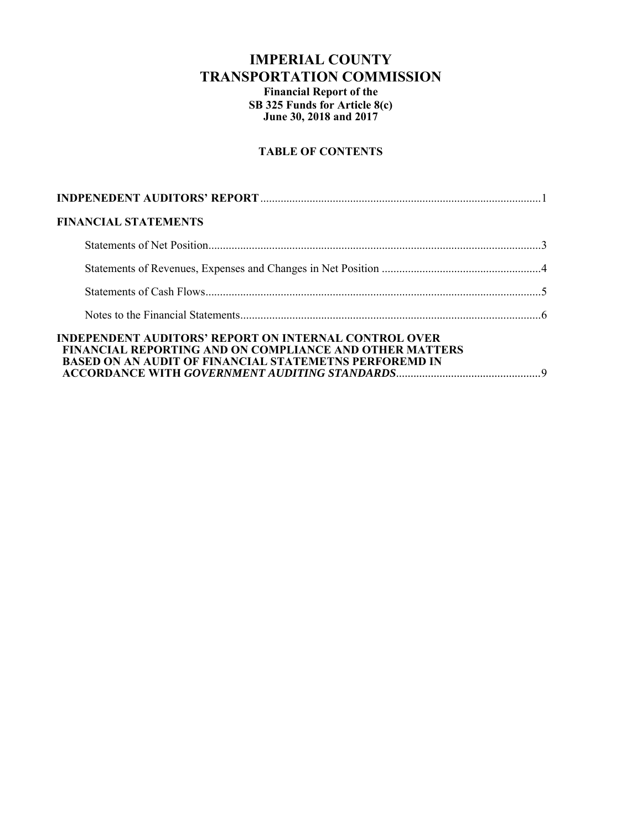## **IMPERIAL COUNTY TRANSPORTATION COMMISSION Financial Report of the SB 325 Funds for Article 8(c) June 30, 2018 and 2017**

## **TABLE OF CONTENTS**

| <b>FINANCIAL STATEMENTS</b>                                                                                                                                                                     |  |
|-------------------------------------------------------------------------------------------------------------------------------------------------------------------------------------------------|--|
|                                                                                                                                                                                                 |  |
|                                                                                                                                                                                                 |  |
|                                                                                                                                                                                                 |  |
|                                                                                                                                                                                                 |  |
| <b>INDEPENDENT AUDITORS' REPORT ON INTERNAL CONTROL OVER</b><br><b>FINANCIAL REPORTING AND ON COMPLIANCE AND OTHER MATTERS</b><br><b>BASED ON AN AUDIT OF FINANCIAL STATEMETNS PERFOREMD IN</b> |  |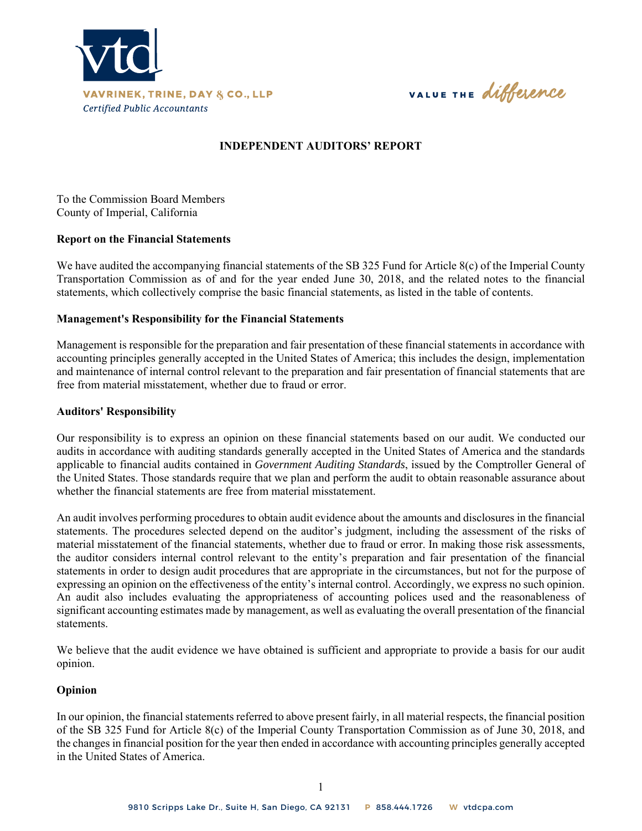

VALUE THE difference

## **INDEPENDENT AUDITORS' REPORT**

To the Commission Board Members County of Imperial, California

#### **Report on the Financial Statements**

We have audited the accompanying financial statements of the SB 325 Fund for Article 8(c) of the Imperial County Transportation Commission as of and for the year ended June 30, 2018, and the related notes to the financial statements, which collectively comprise the basic financial statements, as listed in the table of contents.

#### **Management's Responsibility for the Financial Statements**

Management is responsible for the preparation and fair presentation of these financial statements in accordance with accounting principles generally accepted in the United States of America; this includes the design, implementation and maintenance of internal control relevant to the preparation and fair presentation of financial statements that are free from material misstatement, whether due to fraud or error.

#### **Auditors' Responsibility**

Our responsibility is to express an opinion on these financial statements based on our audit. We conducted our audits in accordance with auditing standards generally accepted in the United States of America and the standards applicable to financial audits contained in *Government Auditing Standards*, issued by the Comptroller General of the United States. Those standards require that we plan and perform the audit to obtain reasonable assurance about whether the financial statements are free from material misstatement.

An audit involves performing procedures to obtain audit evidence about the amounts and disclosures in the financial statements. The procedures selected depend on the auditor's judgment, including the assessment of the risks of material misstatement of the financial statements, whether due to fraud or error. In making those risk assessments, the auditor considers internal control relevant to the entity's preparation and fair presentation of the financial statements in order to design audit procedures that are appropriate in the circumstances, but not for the purpose of expressing an opinion on the effectiveness of the entity's internal control. Accordingly, we express no such opinion. An audit also includes evaluating the appropriateness of accounting polices used and the reasonableness of significant accounting estimates made by management, as well as evaluating the overall presentation of the financial statements.

We believe that the audit evidence we have obtained is sufficient and appropriate to provide a basis for our audit opinion.

#### **Opinion**

In our opinion, the financial statements referred to above present fairly, in all material respects, the financial position of the SB 325 Fund for Article 8(c) of the Imperial County Transportation Commission as of June 30, 2018, and the changes in financial position for the year then ended in accordance with accounting principles generally accepted in the United States of America.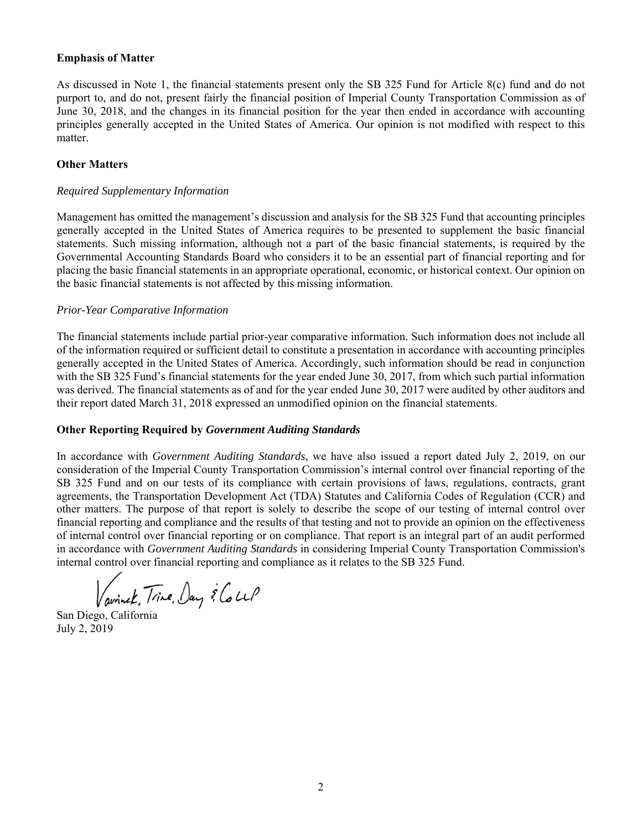## **Emphasis of Matter**

As discussed in Note 1, the financial statements present only the SB 325 Fund for Article 8(c) fund and do not purport to, and do not, present fairly the financial position of Imperial County Transportation Commission as of June 30, 2018, and the changes in its financial position for the year then ended in accordance with accounting principles generally accepted in the United States of America. Our opinion is not modified with respect to this matter.

## **Other Matters**

#### *Required Supplementary Information*

Management has omitted the management's discussion and analysis for the SB 325 Fund that accounting principles generally accepted in the United States of America requires to be presented to supplement the basic financial statements. Such missing information, although not a part of the basic financial statements, is required by the Governmental Accounting Standards Board who considers it to be an essential part of financial reporting and for placing the basic financial statements in an appropriate operational, economic, or historical context. Our opinion on the basic financial statements is not affected by this missing information.

#### *Prior-Year Comparative Information*

The financial statements include partial prior-year comparative information. Such information does not include all of the information required or sufficient detail to constitute a presentation in accordance with accounting principles generally accepted in the United States of America. Accordingly, such information should be read in conjunction with the SB 325 Fund's financial statements for the year ended June 30, 2017, from which such partial information was derived. The financial statements as of and for the year ended June 30, 2017 were audited by other auditors and their report dated March 31, 2018 expressed an unmodified opinion on the financial statements.

## **Other Reporting Required by** *Government Auditing Standards*

In accordance with *Government Auditing Standards*, we have also issued a report dated July 2, 2019, on our consideration of the Imperial County Transportation Commission's internal control over financial reporting of the SB 325 Fund and on our tests of its compliance with certain provisions of laws, regulations, contracts, grant agreements, the Transportation Development Act (TDA) Statutes and California Codes of Regulation (CCR) and other matters. The purpose of that report is solely to describe the scope of our testing of internal control over financial reporting and compliance and the results of that testing and not to provide an opinion on the effectiveness of internal control over financial reporting or on compliance. That report is an integral part of an audit performed in accordance with *Government Auditing Standards* in considering Imperial County Transportation Commission's internal control over financial reporting and compliance as it relates to the SB 325 Fund.

Vavinek, Trine, Day & Coup

San Diego, California July 2, 2019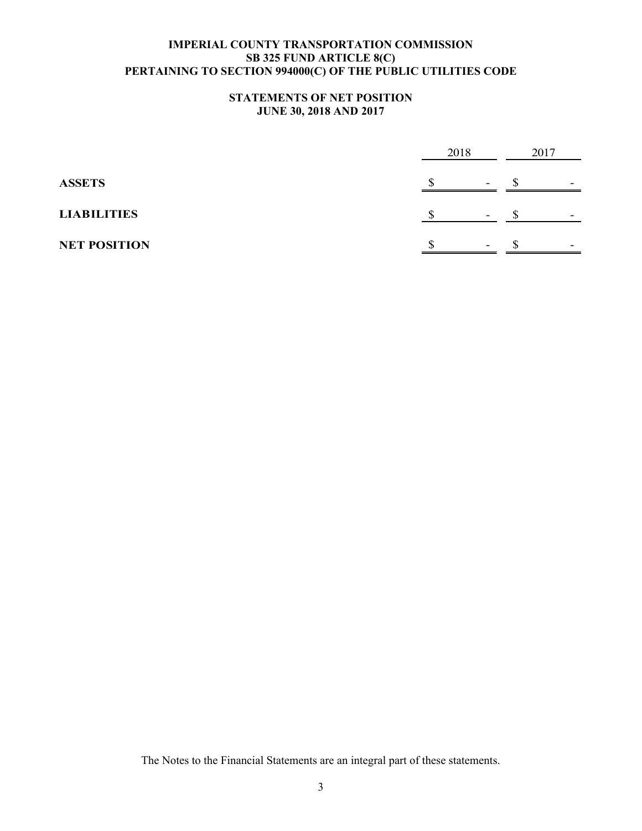## **STATEMENTS OF NET POSITION JUNE 30, 2018 AND 2017**

|                     | 2018 |                          | 2017 |   |
|---------------------|------|--------------------------|------|---|
| <b>ASSETS</b>       |      | $\overline{\phantom{0}}$ |      | - |
| <b>LIABILITIES</b>  |      |                          |      |   |
| <b>NET POSITION</b> |      |                          |      |   |

The Notes to the Financial Statements are an integral part of these statements.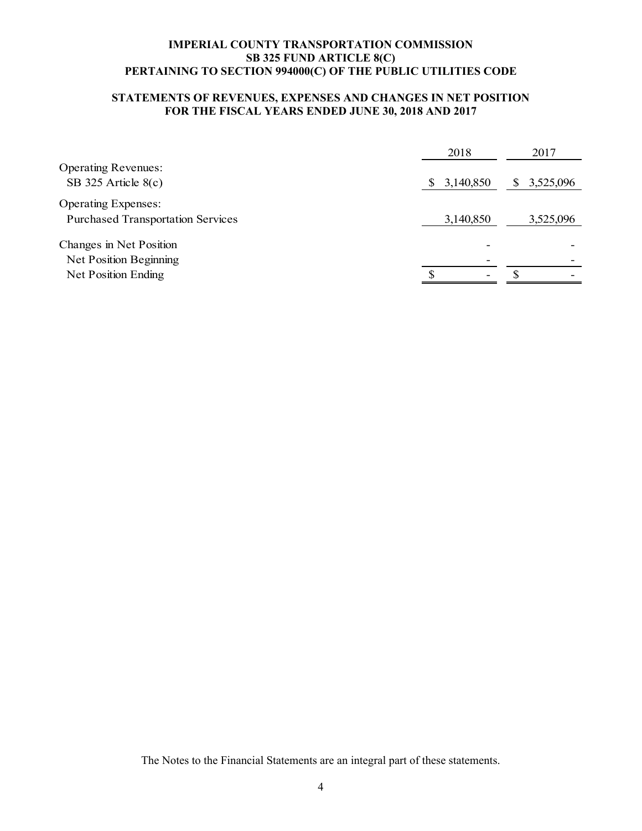## **STATEMENTS OF REVENUES, EXPENSES AND CHANGES IN NET POSITION FOR THE FISCAL YEARS ENDED JUNE 30, 2018 AND 2017**

|                                          | 2018                      | 2017           |
|------------------------------------------|---------------------------|----------------|
| <b>Operating Revenues:</b>               |                           |                |
| SB 325 Article 8(c)                      | 3,140,850<br><sup>S</sup> | 3,525,096<br>S |
| <b>Operating Expenses:</b>               |                           |                |
| <b>Purchased Transportation Services</b> | 3,140,850                 | 3,525,096      |
| Changes in Net Position                  |                           |                |
| Net Position Beginning                   | ۰                         |                |
| Net Position Ending                      | -                         |                |

The Notes to the Financial Statements are an integral part of these statements.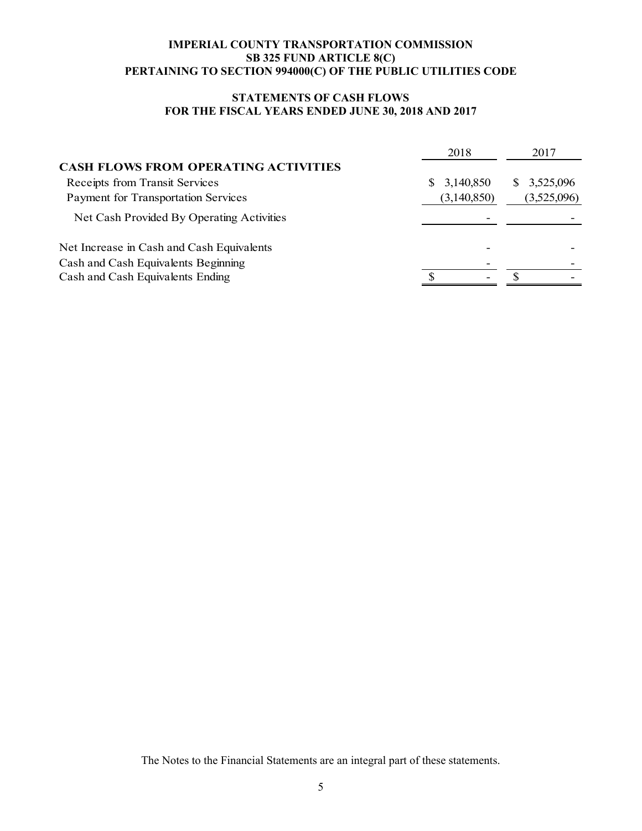## **STATEMENTS OF CASH FLOWS FOR THE FISCAL YEARS ENDED JUNE 30, 2018 AND 2017**

|                                             | 2018           | 2017            |
|---------------------------------------------|----------------|-----------------|
| <b>CASH FLOWS FROM OPERATING ACTIVITIES</b> |                |                 |
| Receipts from Transit Services              | 3,140,850<br>S | 3,525,096<br>S. |
| Payment for Transportation Services         | (3,140,850)    | (3,525,096)     |
| Net Cash Provided By Operating Activities   |                |                 |
| Net Increase in Cash and Cash Equivalents   |                |                 |
| Cash and Cash Equivalents Beginning         |                |                 |
| Cash and Cash Equivalents Ending            | -              |                 |

The Notes to the Financial Statements are an integral part of these statements.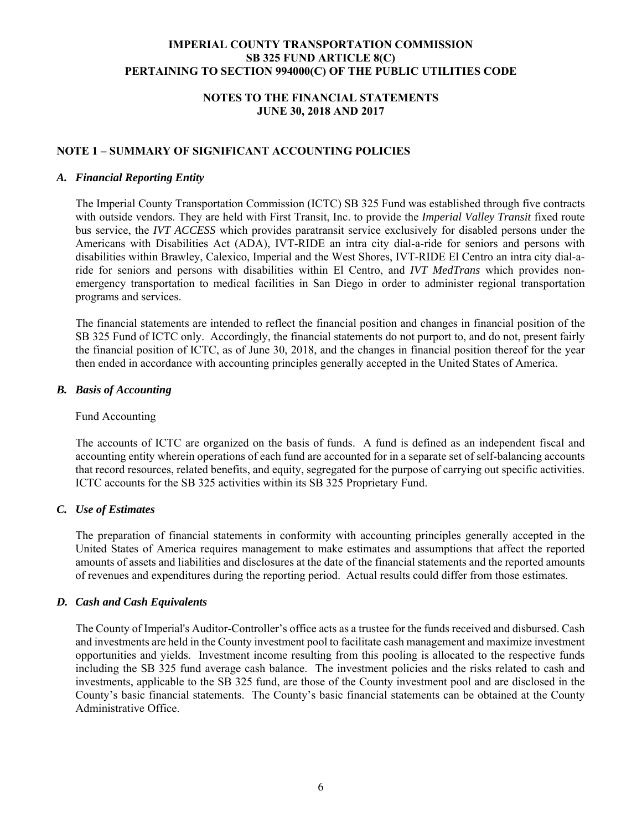## **NOTES TO THE FINANCIAL STATEMENTS JUNE 30, 2018 AND 2017**

## **NOTE 1 – SUMMARY OF SIGNIFICANT ACCOUNTING POLICIES**

#### *A. Financial Reporting Entity*

The Imperial County Transportation Commission (ICTC) SB 325 Fund was established through five contracts with outside vendors. They are held with First Transit, Inc. to provide the *Imperial Valley Transit* fixed route bus service, the *IVT ACCESS* which provides paratransit service exclusively for disabled persons under the Americans with Disabilities Act (ADA), IVT-RIDE an intra city dial-a-ride for seniors and persons with disabilities within Brawley, Calexico, Imperial and the West Shores, IVT-RIDE El Centro an intra city dial-aride for seniors and persons with disabilities within El Centro, and *IVT MedTrans* which provides nonemergency transportation to medical facilities in San Diego in order to administer regional transportation programs and services.

The financial statements are intended to reflect the financial position and changes in financial position of the SB 325 Fund of ICTC only. Accordingly, the financial statements do not purport to, and do not, present fairly the financial position of ICTC, as of June 30, 2018, and the changes in financial position thereof for the year then ended in accordance with accounting principles generally accepted in the United States of America.

#### *B. Basis of Accounting*

#### Fund Accounting

The accounts of ICTC are organized on the basis of funds. A fund is defined as an independent fiscal and accounting entity wherein operations of each fund are accounted for in a separate set of self-balancing accounts that record resources, related benefits, and equity, segregated for the purpose of carrying out specific activities. ICTC accounts for the SB 325 activities within its SB 325 Proprietary Fund.

## *C. Use of Estimates*

The preparation of financial statements in conformity with accounting principles generally accepted in the United States of America requires management to make estimates and assumptions that affect the reported amounts of assets and liabilities and disclosures at the date of the financial statements and the reported amounts of revenues and expenditures during the reporting period. Actual results could differ from those estimates.

#### *D. Cash and Cash Equivalents*

The County of Imperial's Auditor-Controller's office acts as a trustee for the funds received and disbursed. Cash and investments are held in the County investment pool to facilitate cash management and maximize investment opportunities and yields. Investment income resulting from this pooling is allocated to the respective funds including the SB 325 fund average cash balance. The investment policies and the risks related to cash and investments, applicable to the SB 325 fund, are those of the County investment pool and are disclosed in the County's basic financial statements. The County's basic financial statements can be obtained at the County Administrative Office.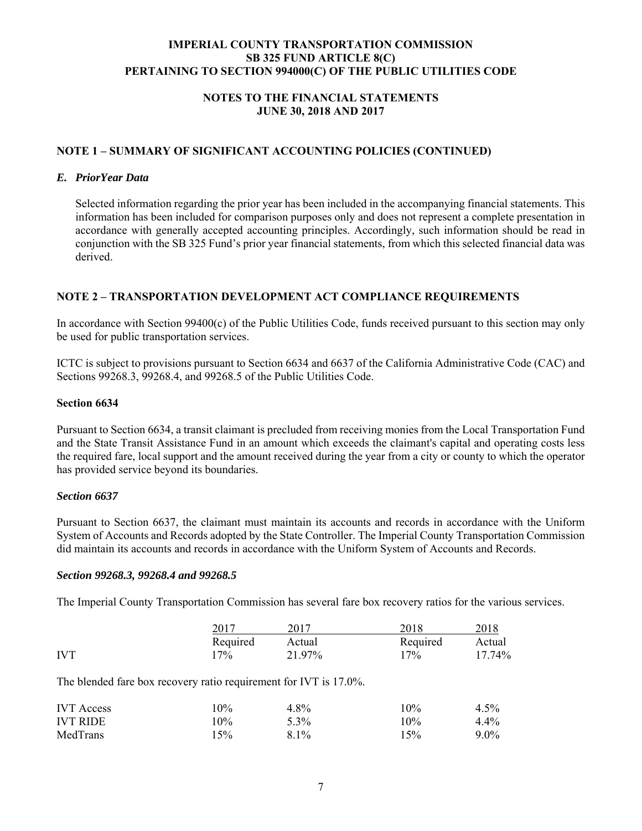## **NOTES TO THE FINANCIAL STATEMENTS JUNE 30, 2018 AND 2017**

## **NOTE 1 – SUMMARY OF SIGNIFICANT ACCOUNTING POLICIES (CONTINUED)**

#### *E. PriorYear Data*

Selected information regarding the prior year has been included in the accompanying financial statements. This information has been included for comparison purposes only and does not represent a complete presentation in accordance with generally accepted accounting principles. Accordingly, such information should be read in conjunction with the SB 325 Fund's prior year financial statements, from which this selected financial data was derived.

## **NOTE 2 – TRANSPORTATION DEVELOPMENT ACT COMPLIANCE REQUIREMENTS**

In accordance with Section 99400(c) of the Public Utilities Code, funds received pursuant to this section may only be used for public transportation services.

ICTC is subject to provisions pursuant to Section 6634 and 6637 of the California Administrative Code (CAC) and Sections 99268.3, 99268.4, and 99268.5 of the Public Utilities Code.

#### **Section 6634**

Pursuant to Section 6634, a transit claimant is precluded from receiving monies from the Local Transportation Fund and the State Transit Assistance Fund in an amount which exceeds the claimant's capital and operating costs less the required fare, local support and the amount received during the year from a city or county to which the operator has provided service beyond its boundaries.

## *Section 6637*

Pursuant to Section 6637, the claimant must maintain its accounts and records in accordance with the Uniform System of Accounts and Records adopted by the State Controller. The Imperial County Transportation Commission did maintain its accounts and records in accordance with the Uniform System of Accounts and Records.

#### *Section 99268.3, 99268.4 and 99268.5*

The Imperial County Transportation Commission has several fare box recovery ratios for the various services.

|            | 2017     | 2017   | 2018     | 2018   |
|------------|----------|--------|----------|--------|
|            | Required | Actual | Required | Actual |
| <b>IVT</b> | 17%      | 21.97% | 17%      | 17.74% |

The blended fare box recovery ratio requirement for IVT is 17.0%.

| <b>IVT</b> Access | $10\%$ | 4.8%    | $10\%$ | $4.5\%$ |
|-------------------|--------|---------|--------|---------|
| <b>IVT RIDE</b>   | 10%    | $5.3\%$ | 10%    | $4.4\%$ |
| MedTrans          | 15%    | $8.1\%$ | 15%    | $9.0\%$ |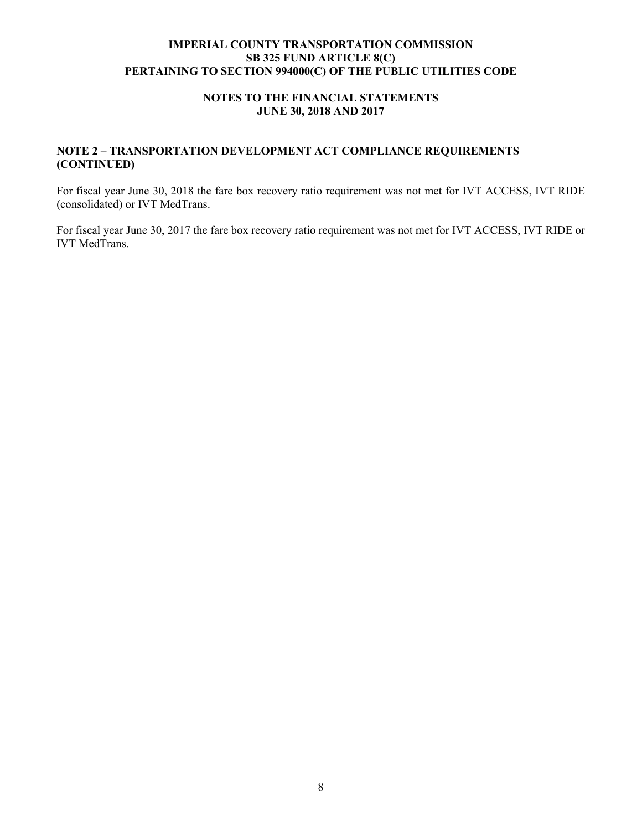## **NOTES TO THE FINANCIAL STATEMENTS JUNE 30, 2018 AND 2017**

## **NOTE 2 – TRANSPORTATION DEVELOPMENT ACT COMPLIANCE REQUIREMENTS (CONTINUED)**

For fiscal year June 30, 2018 the fare box recovery ratio requirement was not met for IVT ACCESS, IVT RIDE (consolidated) or IVT MedTrans.

For fiscal year June 30, 2017 the fare box recovery ratio requirement was not met for IVT ACCESS, IVT RIDE or IVT MedTrans.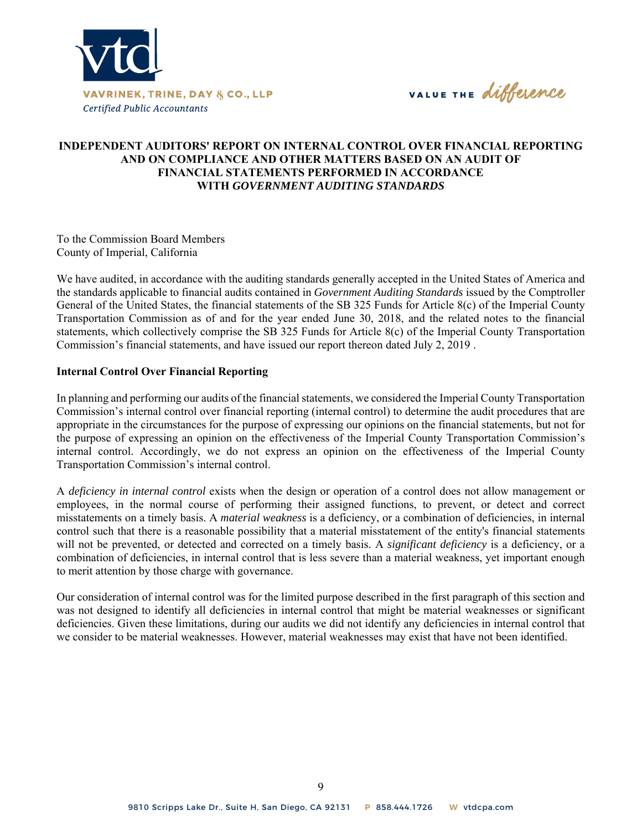

VALUE THE difference

## **INDEPENDENT AUDITORS' REPORT ON INTERNAL CONTROL OVER FINANCIAL REPORTING AND ON COMPLIANCE AND OTHER MATTERS BASED ON AN AUDIT OF FINANCIAL STATEMENTS PERFORMED IN ACCORDANCE WITH** *GOVERNMENT AUDITING STANDARDS*

To the Commission Board Members County of Imperial, California

We have audited, in accordance with the auditing standards generally accepted in the United States of America and the standards applicable to financial audits contained in *Government Auditing Standards* issued by the Comptroller General of the United States, the financial statements of the SB 325 Funds for Article 8(c) of the Imperial County Transportation Commission as of and for the year ended June 30, 2018, and the related notes to the financial statements, which collectively comprise the SB 325 Funds for Article 8(c) of the Imperial County Transportation Commission's financial statements, and have issued our report thereon dated July 2, 2019 .

#### **Internal Control Over Financial Reporting**

In planning and performing our audits of the financial statements, we considered the Imperial County Transportation Commission's internal control over financial reporting (internal control) to determine the audit procedures that are appropriate in the circumstances for the purpose of expressing our opinions on the financial statements, but not for the purpose of expressing an opinion on the effectiveness of the Imperial County Transportation Commission's internal control. Accordingly, we do not express an opinion on the effectiveness of the Imperial County Transportation Commission's internal control.

A *deficiency in internal control* exists when the design or operation of a control does not allow management or employees, in the normal course of performing their assigned functions, to prevent, or detect and correct misstatements on a timely basis. A *material weakness* is a deficiency, or a combination of deficiencies, in internal control such that there is a reasonable possibility that a material misstatement of the entity's financial statements will not be prevented, or detected and corrected on a timely basis. A *significant deficiency* is a deficiency, or a combination of deficiencies, in internal control that is less severe than a material weakness, yet important enough to merit attention by those charge with governance.

Our consideration of internal control was for the limited purpose described in the first paragraph of this section and was not designed to identify all deficiencies in internal control that might be material weaknesses or significant deficiencies. Given these limitations, during our audits we did not identify any deficiencies in internal control that we consider to be material weaknesses. However, material weaknesses may exist that have not been identified.